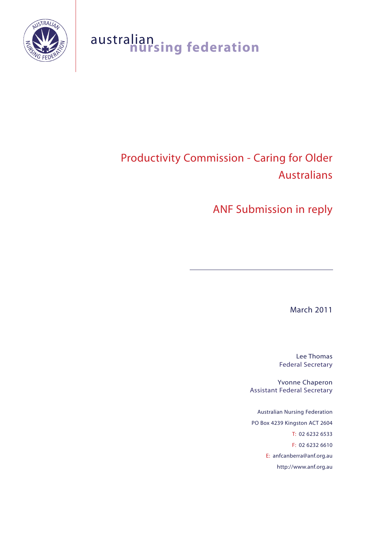

# australian<br>**nursing federation**

## Productivity Commission - Caring for Older Australians

ANF Submission in reply

March 2011

Lee Thomas Federal Secretary

Yvonne Chaperon Assistant Federal Secretary

Australian Nursing Federation PO Box 4239 Kingston ACT 2604 T: 02 6232 6533 F: 02 6232 6610 E: anfcanberra@anf.org.au http://www.anf.org.au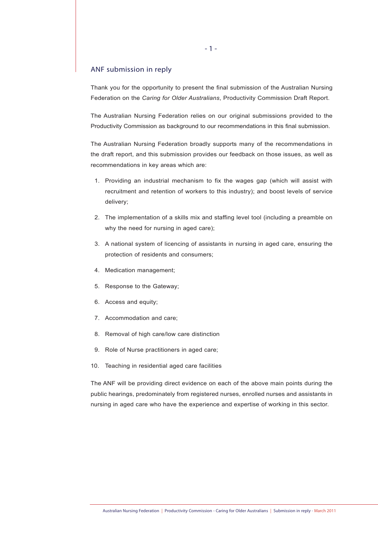#### ANF submission in reply

Thank you for the opportunity to present the final submission of the Australian Nursing Federation on the *Caring for Older Australians*, Productivity Commission Draft Report.

The Australian Nursing Federation relies on our original submissions provided to the Productivity Commission as background to our recommendations in this final submission.

The Australian Nursing Federation broadly supports many of the recommendations in the draft report, and this submission provides our feedback on those issues, as well as recommendations in key areas which are:

- 1. Providing an industrial mechanism to fix the wages gap (which will assist with recruitment and retention of workers to this industry); and boost levels of service delivery;
- 2. The implementation of a skills mix and staffing level tool (including a preamble on why the need for nursing in aged care);
- 3. A national system of licencing of assistants in nursing in aged care, ensuring the protection of residents and consumers;
- 4. Medication management;
- 5. Response to the Gateway;
- 6. Access and equity;
- 7. Accommodation and care;
- 8. Removal of high care/low care distinction
- 9. Role of Nurse practitioners in aged care;
- 10. Teaching in residential aged care facilities

The ANF will be providing direct evidence on each of the above main points during the public hearings, predominately from registered nurses, enrolled nurses and assistants in nursing in aged care who have the experience and expertise of working in this sector.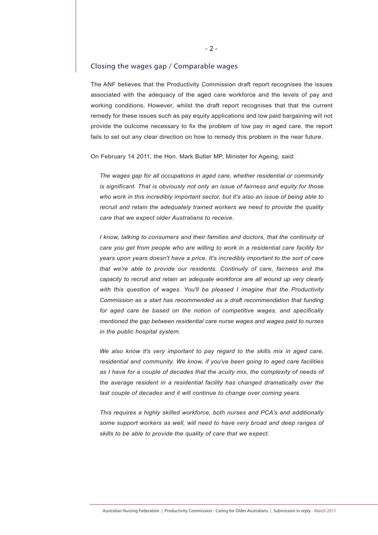#### Closing the wages gap / Comparable wages

The ANF believes that the Productivity Commission draft report recognises the issues associated with the adequacy of the aged care workforce and the levels of pay and working conditions. However, whilst the draft report recognises that that the current remedy for these issues such as pay equity applications and low paid bargaining will not provide the outcome necessary to fix the problem of low pay in aged care, the report fails to set out any clear direction on how to remedy this problem in the near future.

On February 14 2011, the Hon. Mark Butler MP, Minister for Ageing, said:

*The wages gap for all occupations in aged care, whether residential or community is significant. That is obviously not only an issue of fairness and equity for those who work in this incredibly important sector, but it's also an issue of being able to recruit and retain the adequately trained workers we need to provide the quality care that we expect older Australians to receive.* 

*I know, talking to consumers and their families and doctors, that the continuity of care you get from people who are willing to work in a residential care facility for years upon years doesn't have a price. It's incredibly important to the sort of care that we're able to provide our residents. Continuity of care, fairness and the capacity to recruit and retain an adequate workforce are all wound up very clearly with this question of wages. You'll be pleased I imagine that the Productivity Commission as a start has recommended as a draft recommendation that funding for aged care be based on the notion of competitive wages, and specifically mentioned the gap between residential care nurse wages and wages paid to nurses in the public hospital system.* 

*We also know it's very important to pay regard to the skills mix in aged care, residential and community. We know, if you've been going to aged care facilities as I have for a couple of decades that the acuity mix, the complexity of needs of the average resident in a residential facility has changed dramatically over the* last couple of decades and it will continue to change over coming years.

*This requires a highly skilled workforce, both nurses and PCA's and additionally some support workers as well, will need to have very broad and deep ranges of skills to be able to provide the quality of care that we expect.*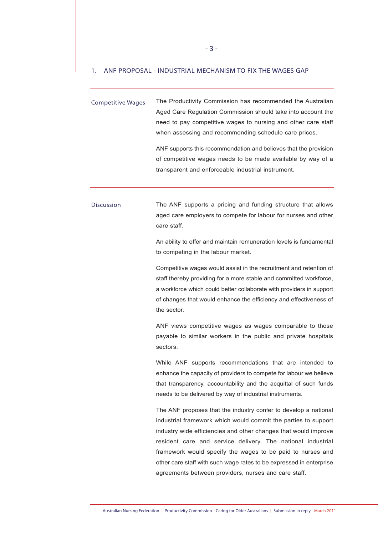#### 1. ANF PROPOSAL - INDUSTRIAL MECHANISM TO FIX THE WAGES GAP

Competitive Wages The Productivity Commission has recommended the Australian Aged Care Regulation Commission should take into account the need to pay competitive wages to nursing and other care staff when assessing and recommending schedule care prices. ANF supports this recommendation and believes that the provision of competitive wages needs to be made available by way of a

transparent and enforceable industrial instrument.

Discussion The ANF supports a pricing and funding structure that allows aged care employers to compete for labour for nurses and other care staff.

> An ability to offer and maintain remuneration levels is fundamental to competing in the labour market.

> Competitive wages would assist in the recruitment and retention of staff thereby providing for a more stable and committed workforce, a workforce which could better collaborate with providers in support of changes that would enhance the efficiency and effectiveness of the sector.

> ANF views competitive wages as wages comparable to those payable to similar workers in the public and private hospitals sectors.

> While ANF supports recommendations that are intended to enhance the capacity of providers to compete for labour we believe that transparency, accountability and the acquittal of such funds needs to be delivered by way of industrial instruments.

> The ANF proposes that the industry confer to develop a national industrial framework which would commit the parties to support industry wide efficiencies and other changes that would improve resident care and service delivery. The national industrial framework would specify the wages to be paid to nurses and other care staff with such wage rates to be expressed in enterprise agreements between providers, nurses and care staff.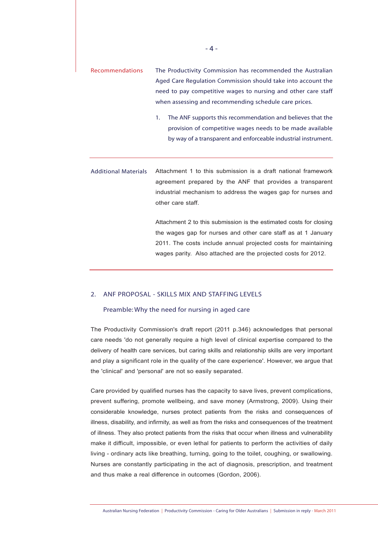- Recommendations The Productivity Commission has recommended the Australian Aged Care Regulation Commission should take into account the need to pay competitive wages to nursing and other care staff when assessing and recommending schedule care prices.
	- 1. The ANF supports this recommendation and believes that the provision of competitive wages needs to be made available by way of a transparent and enforceable industrial instrument.

Additional Materials Attachment 1 to this submission is a draft national framework agreement prepared by the ANF that provides a transparent industrial mechanism to address the wages gap for nurses and other care staff.

> Attachment 2 to this submission is the estimated costs for closing the wages gap for nurses and other care staff as at 1 January 2011. The costs include annual projected costs for maintaining wages parity. Also attached are the projected costs for 2012.

#### 2. ANF PROPOSAL - SKILLS MIX AND STAFFING LEVELS

#### Preamble: Why the need for nursing in aged care

The Productivity Commission's draft report (2011 p.346) acknowledges that personal care needs 'do not generally require a high level of clinical expertise compared to the delivery of health care services, but caring skills and relationship skills are very important and play a significant role in the quality of the care experience'. However, we argue that the 'clinical' and 'personal' are not so easily separated.

Care provided by qualified nurses has the capacity to save lives, prevent complications, prevent suffering, promote wellbeing, and save money (Armstrong, 2009). Using their considerable knowledge, nurses protect patients from the risks and consequences of illness, disability, and infirmity, as well as from the risks and consequences of the treatment of illness. They also protect patients from the risks that occur when illness and vulnerability make it difficult, impossible, or even lethal for patients to perform the activities of daily living - ordinary acts like breathing, turning, going to the toilet, coughing, or swallowing. Nurses are constantly participating in the act of diagnosis, prescription, and treatment and thus make a real difference in outcomes (Gordon, 2006).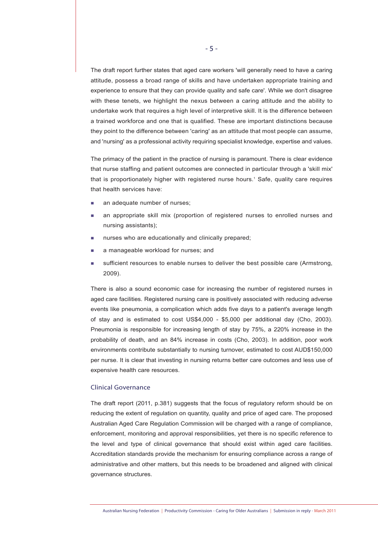The draft report further states that aged care workers 'will generally need to have a caring attitude, possess a broad range of skills and have undertaken appropriate training and experience to ensure that they can provide quality and safe care'. While we don't disagree with these tenets, we highlight the nexus between a caring attitude and the ability to undertake work that requires a high level of interpretive skill. It is the difference between a trained workforce and one that is qualified. These are important distinctions because they point to the difference between 'caring' as an attitude that most people can assume, and 'nursing' as a professional activity requiring specialist knowledge, expertise and values.

The primacy of the patient in the practice of nursing is paramount. There is clear evidence that nurse staffing and patient outcomes are connected in particular through a 'skill mix' that is proportionately higher with registered nurse hours.<sup>1</sup> Safe, quality care requires that health services have:

- an adequate number of nurses;
- an appropriate skill mix (proportion of registered nurses to enrolled nurses and nursing assistants);
- nurses who are educationally and clinically prepared;
- a manageable workload for nurses; and
- sufficient resources to enable nurses to deliver the best possible care (Armstrong, 2009).

There is also a sound economic case for increasing the number of registered nurses in aged care facilities. Registered nursing care is positively associated with reducing adverse events like pneumonia, a complication which adds five days to a patient's average length of stay and is estimated to cost US\$4,000 - \$5,000 per additional day (Cho, 2003). Pneumonia is responsible for increasing length of stay by 75%, a 220% increase in the probability of death, and an 84% increase in costs (Cho, 2003). In addition, poor work environments contribute substantially to nursing turnover, estimated to cost AUD\$150,000 per nurse. It is clear that investing in nursing returns better care outcomes and less use of expensive health care resources.

#### Clinical Governance

The draft report (2011, p.381) suggests that the focus of regulatory reform should be on reducing the extent of regulation on quantity, quality and price of aged care. The proposed Australian Aged Care Regulation Commission will be charged with a range of compliance, enforcement, monitoring and approval responsibilities, yet there is no specific reference to the level and type of clinical governance that should exist within aged care facilities. Accreditation standards provide the mechanism for ensuring compliance across a range of administrative and other matters, but this needs to be broadened and aligned with clinical governance structures.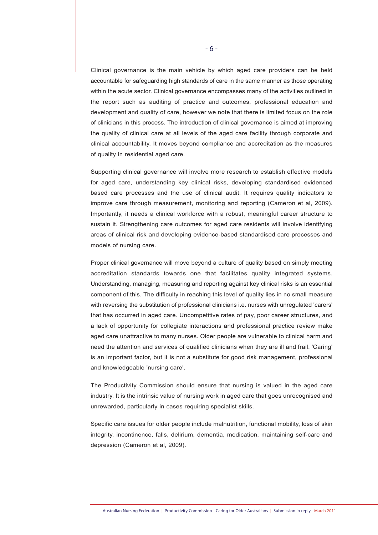Clinical governance is the main vehicle by which aged care providers can be held accountable for safeguarding high standards of care in the same manner as those operating within the acute sector. Clinical governance encompasses many of the activities outlined in the report such as auditing of practice and outcomes, professional education and development and quality of care, however we note that there is limited focus on the role of clinicians in this process. The introduction of clinical governance is aimed at improving the quality of clinical care at all levels of the aged care facility through corporate and clinical accountability. It moves beyond compliance and accreditation as the measures of quality in residential aged care.

Supporting clinical governance will involve more research to establish effective models for aged care, understanding key clinical risks, developing standardised evidenced based care processes and the use of clinical audit. It requires quality indicators to improve care through measurement, monitoring and reporting (Cameron et al, 2009). Importantly, it needs a clinical workforce with a robust, meaningful career structure to sustain it. Strengthening care outcomes for aged care residents will involve identifying areas of clinical risk and developing evidence-based standardised care processes and models of nursing care.

Proper clinical governance will move beyond a culture of quality based on simply meeting accreditation standards towards one that facilitates quality integrated systems. Understanding, managing, measuring and reporting against key clinical risks is an essential component of this. The difficulty in reaching this level of quality lies in no small measure with reversing the substitution of professional clinicians i.e. nurses with unregulated 'carers' that has occurred in aged care. Uncompetitive rates of pay, poor career structures, and a lack of opportunity for collegiate interactions and professional practice review make aged care unattractive to many nurses. Older people are vulnerable to clinical harm and need the attention and services of qualified clinicians when they are ill and frail. 'Caring' is an important factor, but it is not a substitute for good risk management, professional and knowledgeable 'nursing care'.

The Productivity Commission should ensure that nursing is valued in the aged care industry. It is the intrinsic value of nursing work in aged care that goes unrecognised and unrewarded, particularly in cases requiring specialist skills.

Specific care issues for older people include malnutrition, functional mobility, loss of skin integrity, incontinence, falls, delirium, dementia, medication, maintaining self-care and depression (Cameron et al, 2009).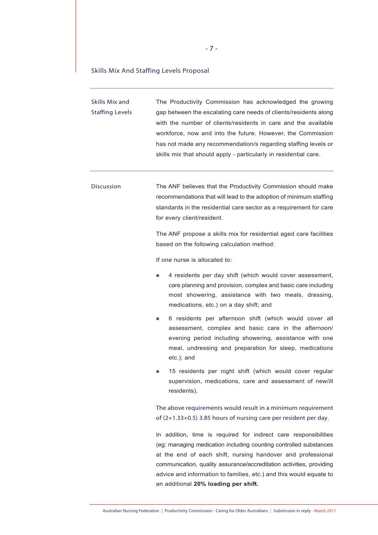#### Skills Mix And Staffing Levels Proposal

 $\overline{\phantom{a}}$ 

| <b>Skills Mix and</b><br><b>Staffing Levels</b> | The Productivity Commission has acknowledged the growing<br>gap between the escalating care needs of clients/residents along<br>with the number of clients/residents in care and the available<br>workforce, now and into the future. However, the Commission<br>has not made any recommendation/s regarding staffing levels or<br>skills mix that should apply - particularly in residential care. |
|-------------------------------------------------|-----------------------------------------------------------------------------------------------------------------------------------------------------------------------------------------------------------------------------------------------------------------------------------------------------------------------------------------------------------------------------------------------------|
| <b>Discussion</b>                               | The ANF believes that the Productivity Commission should make<br>recommendations that will lead to the adoption of minimum staffing<br>standards in the residential care sector as a requirement for care<br>for every client/resident.<br>The ANF propose a skills mix for residential aged care facilities                                                                                        |
|                                                 | based on the following calculation method:                                                                                                                                                                                                                                                                                                                                                          |
|                                                 | If one nurse is allocated to:<br>4 residents per day shift (which would cover assessment,<br>L.<br>care planning and provision, complex and basic care including<br>most showering, assistance with two meals, dressing,<br>medications, etc.) on a day shift; and                                                                                                                                  |
|                                                 | 6 residents per afternoon shift (which would cover all<br>L.<br>assessment, complex and basic care in the afternoon/<br>evening period including showering, assistance with one<br>meal, undressing and preparation for sleep, medications<br>etc.); and                                                                                                                                            |
|                                                 | 15 residents per night shift (which would cover regular<br>supervision, medications, care and assessment of new/ill<br>residents).                                                                                                                                                                                                                                                                  |
|                                                 | The above requirements would result in a minimum requirement<br>of (2+1.33+0.5) 3.85 hours of nursing care per resident per day.                                                                                                                                                                                                                                                                    |
|                                                 | In addition, time is required for indirect care responsibilities<br>(eg: managing medication including counting controlled substances<br>at the end of each shift, nursing handover and professional                                                                                                                                                                                                |

communication, quality assurance/accreditation activities, providing advice and information to families, etc.) and this would equate to an additional **20% loading per shift.**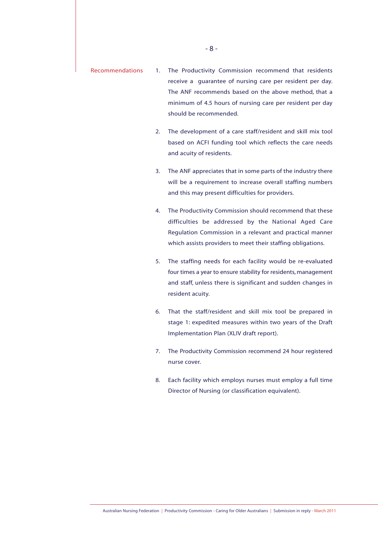- Recommendations 1. The Productivity Commission recommend that residents receive a guarantee of nursing care per resident per day. The ANF recommends based on the above method, that a minimum of 4.5 hours of nursing care per resident per day should be recommended.
	- 2. The development of a care staff/resident and skill mix tool based on ACFI funding tool which reflects the care needs and acuity of residents.
	- 3. The ANF appreciates that in some parts of the industry there will be a requirement to increase overall staffing numbers and this may present difficulties for providers.
	- 4. The Productivity Commission should recommend that these difficulties be addressed by the National Aged Care Regulation Commission in a relevant and practical manner which assists providers to meet their staffing obligations.
	- 5. The staffing needs for each facility would be re-evaluated four times a year to ensure stability for residents, management and staff, unless there is significant and sudden changes in resident acuity.
	- 6. That the staff/resident and skill mix tool be prepared in stage 1: expedited measures within two years of the Draft Implementation Plan (XLIV draft report).
	- 7. The Productivity Commission recommend 24 hour registered nurse cover.
	- 8. Each facility which employs nurses must employ a full time Director of Nursing (or classification equivalent).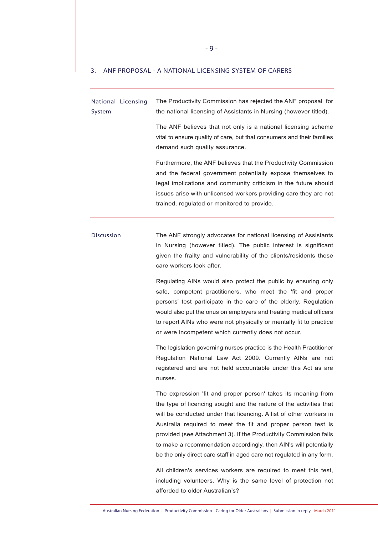#### 3. ANF PROPOSAL - A NATIONAL LICENSING SYSTEM OF CARERS

| National Licensing<br>System | The Productivity Commission has rejected the ANF proposal for<br>the national licensing of Assistants in Nursing (however titled).                                                                                                                                                                                                                                                                                                                                                           |  |  |  |  |
|------------------------------|----------------------------------------------------------------------------------------------------------------------------------------------------------------------------------------------------------------------------------------------------------------------------------------------------------------------------------------------------------------------------------------------------------------------------------------------------------------------------------------------|--|--|--|--|
|                              | The ANF believes that not only is a national licensing scheme<br>vital to ensure quality of care, but that consumers and their families<br>demand such quality assurance.                                                                                                                                                                                                                                                                                                                    |  |  |  |  |
|                              | Furthermore, the ANF believes that the Productivity Commission<br>and the federal government potentially expose themselves to<br>legal implications and community criticism in the future should<br>issues arise with unlicensed workers providing care they are not<br>trained, regulated or monitored to provide.                                                                                                                                                                          |  |  |  |  |
| <b>Discussion</b>            | The ANF strongly advocates for national licensing of Assistants<br>in Nursing (however titled). The public interest is significant<br>given the frailty and vulnerability of the clients/residents these<br>care workers look after.                                                                                                                                                                                                                                                         |  |  |  |  |
|                              | Regulating AINs would also protect the public by ensuring only<br>safe, competent practitioners, who meet the 'fit and proper<br>persons' test participate in the care of the elderly. Regulation<br>would also put the onus on employers and treating medical officers<br>to report AINs who were not physically or mentally fit to practice<br>or were incompetent which currently does not occur.                                                                                         |  |  |  |  |
|                              | The legislation governing nurses practice is the Health Practitioner<br>Regulation National Law Act 2009. Currently AINs are not<br>registered and are not held accountable under this Act as are<br>nurses.                                                                                                                                                                                                                                                                                 |  |  |  |  |
|                              | The expression 'fit and proper person' takes its meaning from<br>the type of licencing sought and the nature of the activities that<br>will be conducted under that licencing. A list of other workers in<br>Australia required to meet the fit and proper person test is<br>provided (see Attachment 3). If the Productivity Commission fails<br>to make a recommendation accordingly, then AIN's will potentially<br>be the only direct care staff in aged care not regulated in any form. |  |  |  |  |
|                              | All children's services workers are required to meet this test,<br>including volunteers. Why is the same level of protection not<br>afforded to older Australian's?                                                                                                                                                                                                                                                                                                                          |  |  |  |  |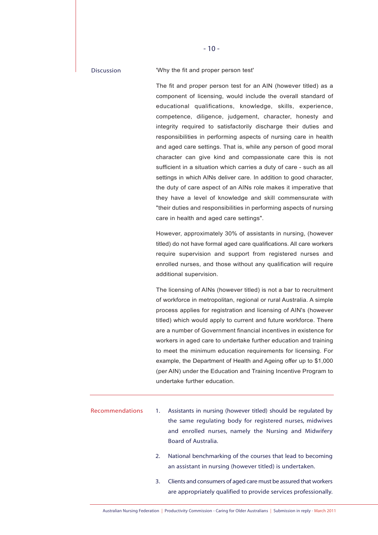Discussion 'Why the fit and proper person test'

The fit and proper person test for an AIN (however titled) as a component of licensing, would include the overall standard of educational qualifications, knowledge, skills, experience, competence, diligence, judgement, character, honesty and integrity required to satisfactorily discharge their duties and responsibilities in performing aspects of nursing care in health and aged care settings. That is, while any person of good moral character can give kind and compassionate care this is not sufficient in a situation which carries a duty of care - such as all settings in which AINs deliver care. In addition to good character, the duty of care aspect of an AINs role makes it imperative that they have a level of knowledge and skill commensurate with "their duties and responsibilities in performing aspects of nursing care in health and aged care settings".

However, approximately 30% of assistants in nursing, (however titled) do not have formal aged care qualifications. All care workers require supervision and support from registered nurses and enrolled nurses, and those without any qualification will require additional supervision.

The licensing of AINs (however titled) is not a bar to recruitment of workforce in metropolitan, regional or rural Australia. A simple process applies for registration and licensing of AIN's (however titled) which would apply to current and future workforce. There are a number of Government financial incentives in existence for workers in aged care to undertake further education and training to meet the minimum education requirements for licensing. For example, the Department of Health and Ageing offer up to \$1,000 (per AIN) under the Education and Training Incentive Program to undertake further education.

- Recommendations 1. Assistants in nursing (however titled) should be regulated by the same regulating body for registered nurses, midwives and enrolled nurses, namely the Nursing and Midwifery Board of Australia.
	- 2. National benchmarking of the courses that lead to becoming an assistant in nursing (however titled) is undertaken.
	- 3. Clients and consumers of aged care must be assured that workers are appropriately qualified to provide services professionally.

 $-10-$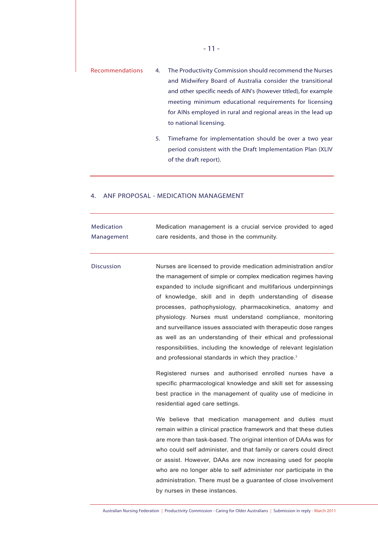- Recommendations 4. The Productivity Commission should recommend the Nurses and Midwifery Board of Australia consider the transitional and other specific needs of AIN's (however titled), for example meeting minimum educational requirements for licensing for AINs employed in rural and regional areas in the lead up to national licensing.
	- 5. Timeframe for implementation should be over a two year period consistent with the Draft Implementation Plan (XLIV of the draft report).

#### 4. ANF PROPOSAL - MEDICATION MANAGEMENT

| <b>Medication</b><br>Management | Medication management is a crucial service provided to aged<br>care residents, and those in the community.                                                                                                                                                                                                                                                                                                                                                                                                                                                                                                                                                                                                                       |
|---------------------------------|----------------------------------------------------------------------------------------------------------------------------------------------------------------------------------------------------------------------------------------------------------------------------------------------------------------------------------------------------------------------------------------------------------------------------------------------------------------------------------------------------------------------------------------------------------------------------------------------------------------------------------------------------------------------------------------------------------------------------------|
| <b>Discussion</b>               | Nurses are licensed to provide medication administration and/or<br>the management of simple or complex medication regimes having<br>expanded to include significant and multifarious underpinnings<br>of knowledge, skill and in depth understanding of disease<br>processes, pathophysiology, pharmacokinetics, anatomy and<br>physiology. Nurses must understand compliance, monitoring<br>and surveillance issues associated with therapeutic dose ranges<br>as well as an understanding of their ethical and professional<br>responsibilities, including the knowledge of relevant legislation<br>and professional standards in which they practice. <sup>2</sup><br>Registered nurses and authorised enrolled nurses have a |
|                                 | specific pharmacological knowledge and skill set for assessing<br>best practice in the management of quality use of medicine in<br>residential aged care settings.                                                                                                                                                                                                                                                                                                                                                                                                                                                                                                                                                               |
|                                 | We believe that medication management and duties must<br>remain within a clinical practice framework and that these duties<br>are more than task-based. The original intention of DAAs was for<br>who could self administer, and that family or carers could direct<br>or assist. However, DAAs are now increasing used for people<br>who are no longer able to self administer nor participate in the<br>administration. There must be a guarantee of close involvement<br>by nurses in these instances.                                                                                                                                                                                                                        |

Australian Nursing Federation | Productivity Commission - Caring for Older Australians | Submission in reply - March 2011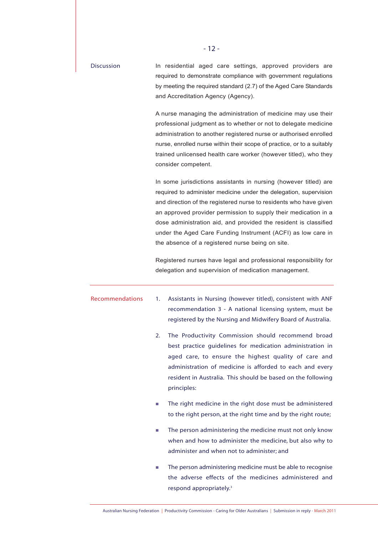| <b>Discussion</b> | In residential aged care settings, approved providers are<br>required to demonstrate compliance with government regulations<br>by meeting the required standard (2.7) of the Aged Care Standards<br>and Accreditation Agency (Agency).                                                                                                                                                                                                                                |  |  |  |  |
|-------------------|-----------------------------------------------------------------------------------------------------------------------------------------------------------------------------------------------------------------------------------------------------------------------------------------------------------------------------------------------------------------------------------------------------------------------------------------------------------------------|--|--|--|--|
|                   | A nurse managing the administration of medicine may use their<br>professional judgment as to whether or not to delegate medicine<br>administration to another registered nurse or authorised enrolled<br>nurse, enrolled nurse within their scope of practice, or to a suitably<br>trained unlicensed health care worker (however titled), who they<br>consider competent.                                                                                            |  |  |  |  |
|                   | In some jurisdictions assistants in nursing (however titled) are<br>required to administer medicine under the delegation, supervision<br>and direction of the registered nurse to residents who have given<br>an approved provider permission to supply their medication in a<br>dose administration aid, and provided the resident is classified<br>under the Aged Care Funding Instrument (ACFI) as low care in<br>the absence of a registered nurse being on site. |  |  |  |  |
|                   | Registered nurses have legal and professional responsibility for<br>delegation and supervision of medication management.                                                                                                                                                                                                                                                                                                                                              |  |  |  |  |
| Recommendations   | Assistants in Nursing (however titled), consistent with ANF<br>1.<br>recommendation 3 - A national licensing system, must be<br>registered by the Nursing and Midwifery Board of Australia.                                                                                                                                                                                                                                                                           |  |  |  |  |
|                   | The Productivity Commission should recommend broad<br>best practice quidelines for medication administration in<br>aged care, to ensure the highest quality of care and<br>administration of medicine is afforded to each and every<br>resident in Australia. This should be based on the following<br>principles:                                                                                                                                                    |  |  |  |  |
|                   | The right medicine in the right dose must be administered<br>u,<br>to the right person, at the right time and by the right route;                                                                                                                                                                                                                                                                                                                                     |  |  |  |  |
|                   | The person administering the medicine must not only know<br>×.<br>when and how to administer the medicine, but also why to<br>administer and when not to administer; and                                                                                                                                                                                                                                                                                              |  |  |  |  |
|                   | The person administering medicine must be able to recognise<br>u.<br>the adverse effects of the medicines administered and<br>respond appropriately. <sup>3</sup>                                                                                                                                                                                                                                                                                                     |  |  |  |  |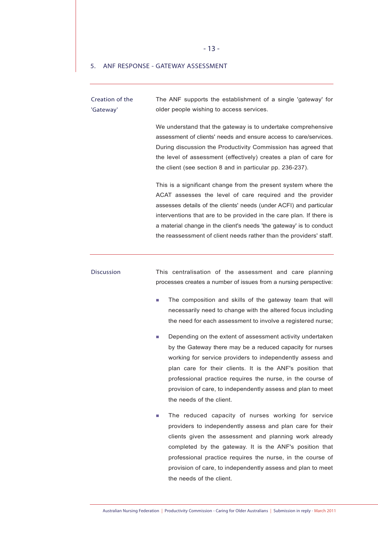- 13 -

#### 5. ANF RESPONSE - GATEWAY ASSESSMENT

Creation of the 'Gateway' The ANF supports the establishment of a single 'gateway' for older people wishing to access services.

> We understand that the gateway is to undertake comprehensive assessment of clients' needs and ensure access to care/services. During discussion the Productivity Commission has agreed that the level of assessment (effectively) creates a plan of care for the client (see section 8 and in particular pp. 236-237).

> This is a significant change from the present system where the ACAT assesses the level of care required and the provider assesses details of the clients' needs (under ACFI) and particular interventions that are to be provided in the care plan. If there is a material change in the client's needs 'the gateway' is to conduct the reassessment of client needs rather than the providers' staff.

Discussion This centralisation of the assessment and care planning processes creates a number of issues from a nursing perspective:

- The composition and skills of the gateway team that will necessarily need to change with the altered focus including the need for each assessment to involve a registered nurse;
- Depending on the extent of assessment activity undertaken by the Gateway there may be a reduced capacity for nurses working for service providers to independently assess and plan care for their clients. It is the ANF's position that professional practice requires the nurse, in the course of provision of care, to independently assess and plan to meet the needs of the client.
- The reduced capacity of nurses working for service providers to independently assess and plan care for their clients given the assessment and planning work already completed by the gateway. It is the ANF's position that professional practice requires the nurse, in the course of provision of care, to independently assess and plan to meet the needs of the client.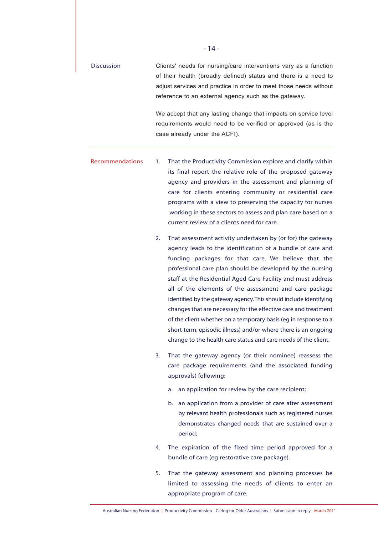| <b>Discussion</b> | Clients' needs for nursing/care interventions vary as a function  |
|-------------------|-------------------------------------------------------------------|
|                   | of their health (broadly defined) status and there is a need to   |
|                   | adjust services and practice in order to meet those needs without |
|                   | reference to an external agency such as the gateway.              |
|                   |                                                                   |
|                   | We accept that any lasting change that impacts on service level   |
|                   | requirements would need to be verified or approved (as is the     |

case already under the ACFI).

Recommendations 1. That the Productivity Commission explore and clarify within its final report the relative role of the proposed gateway agency and providers in the assessment and planning of care for clients entering community or residential care programs with a view to preserving the capacity for nurses working in these sectors to assess and plan care based on a

current review of a clients need for care.

- 2. That assessment activity undertaken by (or for) the gateway agency leads to the identification of a bundle of care and funding packages for that care. We believe that the professional care plan should be developed by the nursing staff at the Residential Aged Care Facility and must address all of the elements of the assessment and care package identified by the gateway agency.This should include identifying changes that are necessary for the effective care and treatment of the client whether on a temporary basis (eg in response to a short term, episodic illness) and/or where there is an ongoing change to the health care status and care needs of the client.
- 3. That the gateway agency (or their nominee) reassess the care package requirements (and the associated funding approvals) following:
	- a. an application for review by the care recipient;
	- b. an application from a provider of care after assessment by relevant health professionals such as registered nurses demonstrates changed needs that are sustained over a period;
- 4. The expiration of the fixed time period approved for a bundle of care (eg restorative care package).
- 5. That the gateway assessment and planning processes be limited to assessing the needs of clients to enter an appropriate program of care.

- 14 -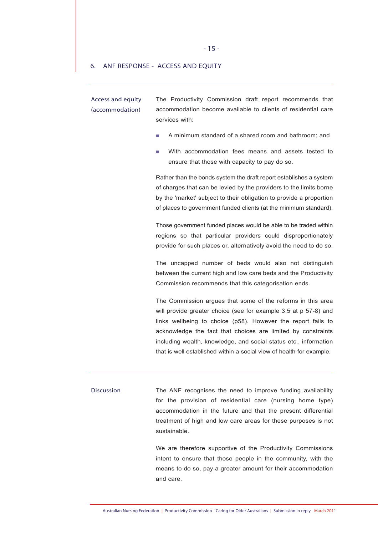#### 6. ANF RESPONSE - ACCESS AND EQUITY

Access and equity (accommodation)

The Productivity Commission draft report recommends that accommodation become available to clients of residential care services with:

- A minimum standard of a shared room and bathroom; and
- With accommodation fees means and assets tested to ensure that those with capacity to pay do so.

Rather than the bonds system the draft report establishes a system of charges that can be levied by the providers to the limits borne by the 'market' subject to their obligation to provide a proportion of places to government funded clients (at the minimum standard).

Those government funded places would be able to be traded within regions so that particular providers could disproportionately provide for such places or, alternatively avoid the need to do so.

The uncapped number of beds would also not distinguish between the current high and low care beds and the Productivity Commission recommends that this categorisation ends.

The Commission argues that some of the reforms in this area will provide greater choice (see for example 3.5 at p 57-8) and links wellbeing to choice (p58). However the report fails to acknowledge the fact that choices are limited by constraints including wealth, knowledge, and social status etc., information that is well established within a social view of health for example.

Discussion The ANF recognises the need to improve funding availability for the provision of residential care (nursing home type) accommodation in the future and that the present differential treatment of high and low care areas for these purposes is not sustainable.

> We are therefore supportive of the Productivity Commissions intent to ensure that those people in the community, with the means to do so, pay a greater amount for their accommodation and care.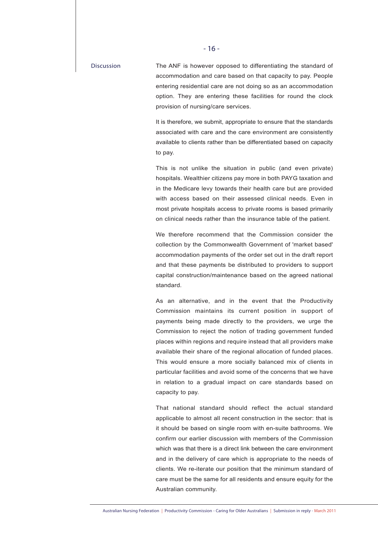Discussion The ANF is however opposed to differentiating the standard of accommodation and care based on that capacity to pay. People entering residential care are not doing so as an accommodation option. They are entering these facilities for round the clock provision of nursing/care services.

> It is therefore, we submit, appropriate to ensure that the standards associated with care and the care environment are consistently available to clients rather than be differentiated based on capacity to pay.

> This is not unlike the situation in public (and even private) hospitals. Wealthier citizens pay more in both PAYG taxation and in the Medicare levy towards their health care but are provided with access based on their assessed clinical needs. Even in most private hospitals access to private rooms is based primarily on clinical needs rather than the insurance table of the patient.

> We therefore recommend that the Commission consider the collection by the Commonwealth Government of 'market based' accommodation payments of the order set out in the draft report and that these payments be distributed to providers to support capital construction/maintenance based on the agreed national standard.

> As an alternative, and in the event that the Productivity Commission maintains its current position in support of payments being made directly to the providers, we urge the Commission to reject the notion of trading government funded places within regions and require instead that all providers make available their share of the regional allocation of funded places. This would ensure a more socially balanced mix of clients in particular facilities and avoid some of the concerns that we have in relation to a gradual impact on care standards based on capacity to pay.

> That national standard should reflect the actual standard applicable to almost all recent construction in the sector: that is it should be based on single room with en-suite bathrooms. We confirm our earlier discussion with members of the Commission which was that there is a direct link between the care environment and in the delivery of care which is appropriate to the needs of clients. We re-iterate our position that the minimum standard of care must be the same for all residents and ensure equity for the Australian community.

Australian Nursing Federation | Productivity Commission - Caring for Older Australians | Submission in reply - March 2011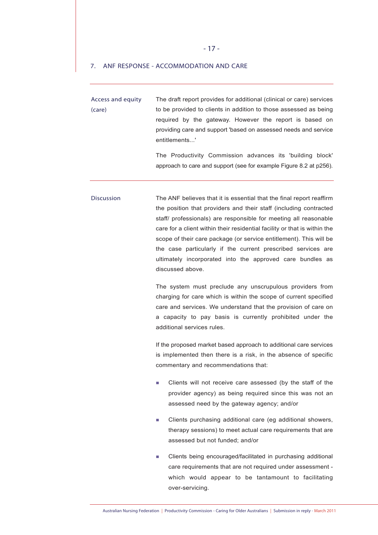#### - 17 -

#### 7. ANF RESPONSE - ACCOMMODATION AND CARE

Access and equity (care) The draft report provides for additional (clinical or care) services to be provided to clients in addition to those assessed as being required by the gateway. However the report is based on providing care and support 'based on assessed needs and service entitlements...'

> The Productivity Commission advances its 'building block' approach to care and support (see for example Figure 8.2 at p256).

Discussion The ANF believes that it is essential that the final report reaffirm the position that providers and their staff (including contracted staff/ professionals) are responsible for meeting all reasonable care for a client within their residential facility or that is within the scope of their care package (or service entitlement). This will be the case particularly if the current prescribed services are ultimately incorporated into the approved care bundles as discussed above.

> The system must preclude any unscrupulous providers from charging for care which is within the scope of current specified care and services. We understand that the provision of care on a capacity to pay basis is currently prohibited under the additional services rules.

> If the proposed market based approach to additional care services is implemented then there is a risk, in the absence of specific commentary and recommendations that:

- Clients will not receive care assessed (by the staff of the provider agency) as being required since this was not an assessed need by the gateway agency; and/or
- **EXECUTE:** Clients purchasing additional care (eg additional showers, therapy sessions) to meet actual care requirements that are assessed but not funded; and/or
- Clients being encouraged/facilitated in purchasing additional care requirements that are not required under assessment which would appear to be tantamount to facilitating over-servicing.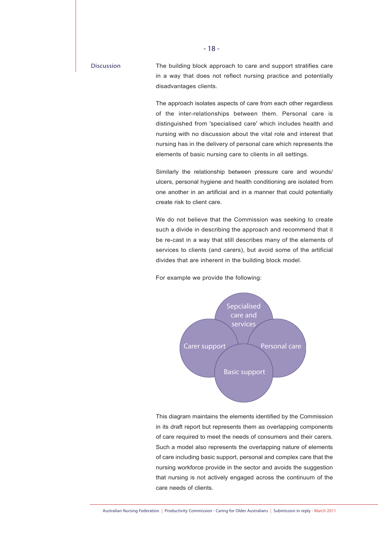Discussion The building block approach to care and support stratifies care in a way that does not reflect nursing practice and potentially disadvantages clients.

> The approach isolates aspects of care from each other regardless of the inter-relationships between them. Personal care is distinguished from 'specialised care' which includes health and nursing with no discussion about the vital role and interest that nursing has in the delivery of personal care which represents the elements of basic nursing care to clients in all settings.

> Similarly the relationship between pressure care and wounds/ ulcers, personal hygiene and health conditioning are isolated from one another in an artificial and in a manner that could potentially create risk to client care.

> We do not believe that the Commission was seeking to create such a divide in describing the approach and recommend that it be re-cast in a way that still describes many of the elements of services to clients (and carers), but avoid some of the artificial divides that are inherent in the building block model.

For example we provide the following:



This diagram maintains the elements identified by the Commission in its draft report but represents them as overlapping components of care required to meet the needs of consumers and their carers. Such a model also represents the overlapping nature of elements of care including basic support, personal and complex care that the nursing workforce provide in the sector and avoids the suggestion that nursing is not actively engaged across the continuum of the care needs of clients.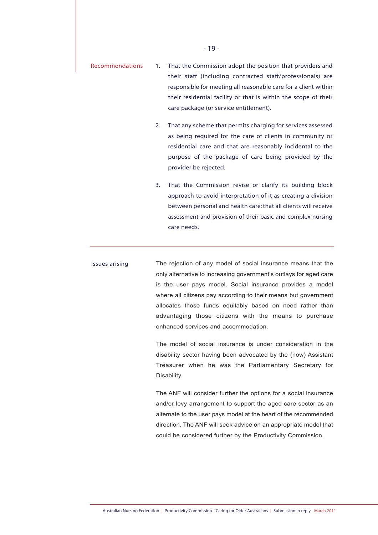| Recommendations | 1. That the Commission adopt the position that providers and    |  |  |  |  |
|-----------------|-----------------------------------------------------------------|--|--|--|--|
|                 | their staff (including contracted staff/professionals) are      |  |  |  |  |
|                 | responsible for meeting all reasonable care for a client within |  |  |  |  |
|                 | their residential facility or that is within the scope of their |  |  |  |  |
|                 | care package (or service entitlement).                          |  |  |  |  |

- 2. That any scheme that permits charging for services assessed as being required for the care of clients in community or residential care and that are reasonably incidental to the purpose of the package of care being provided by the provider be rejected.
- 3. That the Commission revise or clarify its building block approach to avoid interpretation of it as creating a division between personal and health care: that all clients will receive assessment and provision of their basic and complex nursing care needs.

Issues arising The rejection of any model of social insurance means that the only alternative to increasing government's outlays for aged care is the user pays model. Social insurance provides a model where all citizens pay according to their means but government allocates those funds equitably based on need rather than advantaging those citizens with the means to purchase enhanced services and accommodation.

> The model of social insurance is under consideration in the disability sector having been advocated by the (now) Assistant Treasurer when he was the Parliamentary Secretary for Disability.

> The ANF will consider further the options for a social insurance and/or levy arrangement to support the aged care sector as an alternate to the user pays model at the heart of the recommended direction. The ANF will seek advice on an appropriate model that could be considered further by the Productivity Commission.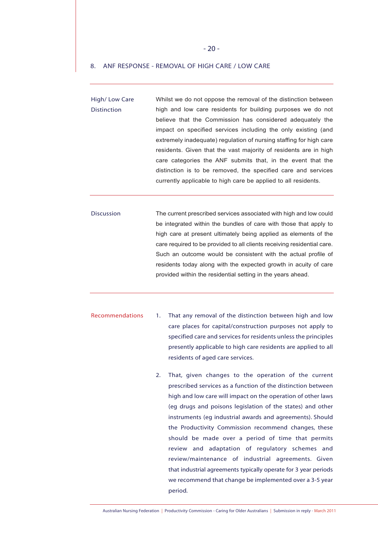#### 8. ANF RESPONSE - REMOVAL OF HIGH CARE / LOW CARE

High/ Low Care Distinction Whilst we do not oppose the removal of the distinction between high and low care residents for building purposes we do not believe that the Commission has considered adequately the impact on specified services including the only existing (and extremely inadequate) regulation of nursing staffing for high care residents. Given that the vast majority of residents are in high care categories the ANF submits that, in the event that the distinction is to be removed, the specified care and services currently applicable to high care be applied to all residents.

Discussion The current prescribed services associated with high and low could be integrated within the bundles of care with those that apply to high care at present ultimately being applied as elements of the care required to be provided to all clients receiving residential care. Such an outcome would be consistent with the actual profile of residents today along with the expected growth in acuity of care provided within the residential setting in the years ahead.

- Recommendations 1. That any removal of the distinction between high and low care places for capital/construction purposes not apply to specified care and services for residents unless the principles presently applicable to high care residents are applied to all residents of aged care services.
	- 2. That, given changes to the operation of the current prescribed services as a function of the distinction between high and low care will impact on the operation of other laws (eg drugs and poisons legislation of the states) and other instruments (eg industrial awards and agreements). Should the Productivity Commission recommend changes, these should be made over a period of time that permits review and adaptation of regulatory schemes and review/maintenance of industrial agreements. Given that industrial agreements typically operate for 3 year periods we recommend that change be implemented over a 3-5 year period.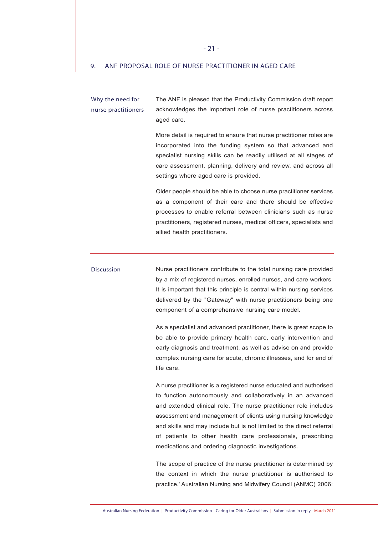#### 9. ANF PROPOSAL ROLE OF NURSE PRACTITIONER IN AGED CARE

Why the need for nurse practitioners The ANF is pleased that the Productivity Commission draft report acknowledges the important role of nurse practitioners across aged care.

> More detail is required to ensure that nurse practitioner roles are incorporated into the funding system so that advanced and specialist nursing skills can be readily utilised at all stages of care assessment, planning, delivery and review, and across all settings where aged care is provided.

> Older people should be able to choose nurse practitioner services as a component of their care and there should be effective processes to enable referral between clinicians such as nurse practitioners, registered nurses, medical officers, specialists and allied health practitioners.

Discussion Nurse practitioners contribute to the total nursing care provided by a mix of registered nurses, enrolled nurses, and care workers. It is important that this principle is central within nursing services delivered by the "Gateway" with nurse practitioners being one component of a comprehensive nursing care model.

> As a specialist and advanced practitioner, there is great scope to be able to provide primary health care, early intervention and early diagnosis and treatment, as well as advise on and provide complex nursing care for acute, chronic illnesses, and for end of life care.

> A nurse practitioner is a registered nurse educated and authorised to function autonomously and collaboratively in an advanced and extended clinical role. The nurse practitioner role includes assessment and management of clients using nursing knowledge and skills and may include but is not limited to the direct referral of patients to other health care professionals, prescribing medications and ordering diagnostic investigations.

> The scope of practice of the nurse practitioner is determined by the context in which the nurse practitioner is authorised to practice.' Australian Nursing and Midwifery Council (ANMC) 2006: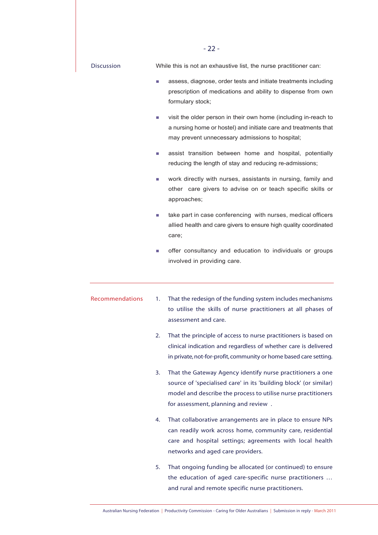|                   |    | $-22-$                                                                                                                                                                                                                                   |
|-------------------|----|------------------------------------------------------------------------------------------------------------------------------------------------------------------------------------------------------------------------------------------|
| <b>Discussion</b> |    | While this is not an exhaustive list, the nurse practitioner can:                                                                                                                                                                        |
|                   |    | assess, diagnose, order tests and initiate treatments including<br>prescription of medications and ability to dispense from own<br>formulary stock;                                                                                      |
|                   | L. | visit the older person in their own home (including in-reach to<br>a nursing home or hostel) and initiate care and treatments that<br>may prevent unnecessary admissions to hospital;                                                    |
|                   | п  | assist transition between home and hospital, potentially<br>reducing the length of stay and reducing re-admissions;                                                                                                                      |
|                   | L. | work directly with nurses, assistants in nursing, family and<br>other care givers to advise on or teach specific skills or<br>approaches;                                                                                                |
|                   |    | take part in case conferencing with nurses, medical officers<br>allied health and care givers to ensure high quality coordinated<br>care;                                                                                                |
|                   | L. | offer consultancy and education to individuals or groups<br>involved in providing care.                                                                                                                                                  |
| Recommendations   | 1. | That the redesign of the funding system includes mechanisms<br>to utilise the skills of nurse practitioners at all phases of<br>assessment and care.                                                                                     |
|                   | 2. | That the principle of access to nurse practitioners is based on<br>clinical indication and regardless of whether care is delivered<br>in private, not-for-profit, community or home based care setting.                                  |
|                   | 3. | That the Gateway Agency identify nurse practitioners a one<br>source of 'specialised care' in its 'building block' (or similar)<br>model and describe the process to utilise nurse practitioners<br>for assessment, planning and review. |
|                   | 4. | That collaborative arrangements are in place to ensure NPs<br>can readily work across home, community care, residential<br>care and hospital settings; agreements with local health<br>networks and aged care providers.                 |
|                   | 5. | That ongoing funding be allocated (or continued) to ensure<br>the education of aged care-specific nurse practitioners<br>and rural and remote specific nurse practitioners.                                                              |

Australian Nursing Federation | Productivity Commission - Caring for Older Australians | Submission in reply - March 2011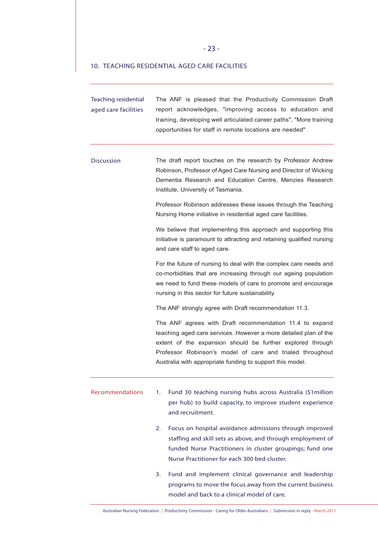#### 10. TEACHING RESIDENTIAL AGED CARE FACILITIES

| <b>Teaching residential</b><br>aged care facilities | The ANF is pleased that the Productivity Commission Draft<br>report acknowledges, "improving access to education and<br>training, developing well articulated career paths", "More training<br>opportunities for staff in remote locations are needed"                                                              |  |  |  |  |  |  |
|-----------------------------------------------------|---------------------------------------------------------------------------------------------------------------------------------------------------------------------------------------------------------------------------------------------------------------------------------------------------------------------|--|--|--|--|--|--|
| <b>Discussion</b>                                   | The draft report touches on the research by Professor Andrew<br>Robinson, Professor of Aged Care Nursing and Director of Wicking<br>Dementia Research and Education Centre, Menzies Research<br>Institute, University of Tasmania.                                                                                  |  |  |  |  |  |  |
|                                                     | Professor Robinson addresses these issues through the Teaching<br>Nursing Home initiative in residential aged care facilities.                                                                                                                                                                                      |  |  |  |  |  |  |
|                                                     | We believe that implementing this approach and supporting this<br>initiative is paramount to attracting and retaining qualified nursing<br>and care staff to aged care.                                                                                                                                             |  |  |  |  |  |  |
|                                                     | For the future of nursing to deal with the complex care needs and<br>co-morbidities that are increasing through our ageing population<br>we need to fund these models of care to promote and encourage<br>nursing in this sector for future sustainability.                                                         |  |  |  |  |  |  |
|                                                     | The ANF strongly agree with Draft recommendation 11.3.                                                                                                                                                                                                                                                              |  |  |  |  |  |  |
|                                                     | The ANF agrees with Draft recommendation 11.4 to expand<br>teaching aged care services. However a more detailed plan of the<br>extent of the expansion should be further explored through<br>Professor Robinson's model of care and trialed throughout<br>Australia with appropriate funding to support this model. |  |  |  |  |  |  |
| Recommendations                                     | Fund 30 teaching nursing hubs across Australia (\$1 million<br>1.<br>per hub) to build capacity, to improve student experience<br>and recruitment.                                                                                                                                                                  |  |  |  |  |  |  |
|                                                     | Focus on hospital avoidance admissions through improved<br>2.<br>staffing and skill sets as above, and through employment of<br>funded Nurse Practitioners in cluster groupings; fund one<br>Nurse Practitioner for each 300 bed cluster.                                                                           |  |  |  |  |  |  |
|                                                     | Fund and implement clinical governance and leadership<br>3.<br>programs to move the focus away from the current business<br>model and back to a clinical model of care.                                                                                                                                             |  |  |  |  |  |  |

Australian Nursing Federation | Productivity Commission - Caring for Older Australians | Submission in reply - March 2011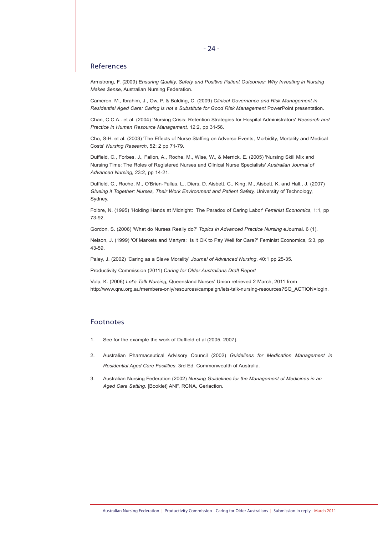#### References

Armstrong, F. (2009) *Ensuring Quality, Safety and Positive Patient Outcomes: Why Investing in Nursing Makes \$ense,* Australian Nursing Federation.

Cameron, M., Ibrahim, J., Ow, P. & Balding, C. (2009) *Clinical Governance and Risk Management in Residential Aged Care: Caring is not a Substitute for Good Risk Management* PowerPoint presentation.

Chan, C.C.A.. et al. (2004) 'Nursing Crisis: Retention Strategies for Hospital Administrators' *Research and Practice in Human Resource Management,* 12:2, pp 31-56.

Cho, S-H. et al. (2003) 'The Effects of Nurse Staffing on Adverse Events, Morbidity, Mortality and Medical Costs' *Nursing Research*, 52: 2 pp 71-79.

Duffield, C., Forbes, J., Fallon, A., Roche, M., Wise, W., & Merrick, E. (2005) 'Nursing Skill Mix and Nursing Time: The Roles of Registered Nurses and Clinical Nurse Specialists' *Australian Journal of Advanced Nursing,* 23:2, pp 14-21.

Duffield, C., Roche, M., O'Brien-Pallas, L., Diers, D. Aisbett, C., King, M., Aisbett, K. and Hall., J. (2007) *Glueing it Together: Nurses, Their Work Environment and Patient Safety,* University of Technology, Sydney.

Folbre, N. (1995) 'Holding Hands at Midnight: The Paradox of Caring Labor' *Feminist Economics*, 1:1, pp 73-92.

Gordon, S. (2006) 'What do Nurses Really do?' *Topics in Advanced Practice Nursing* eJournal. 6 (1).

Nelson, J. (1999) 'Of Markets and Martyrs: Is it OK to Pay Well for Care?' Feminist Economics, 5:3, pp 43-59.

Paley, J. (2002) 'Caring as a Slave Morality' *Journal of Advanced Nursing*, 40:1 pp 25-35.

Productivity Commission (2011) *Caring for Older Australians Draft Report*

Volp, K. (2006) *Let's Talk Nursing,* Queensland Nurses' Union retrieved 2 March, 2011 from http://www.qnu.org.au/members-only/resources/campaign/lets-talk-nursing-resources?SQ\_ACTION=login.

#### Footnotes

- 1. See for the example the work of Duffield et al (2005, 2007).
- 2. Australian Pharmaceutical Advisory Council (2002) *Guidelines for Medication Management in Residential Aged Care Facilities*. 3rd Ed. Commonwealth of Australia.
- 3. Australian Nursing Federation (2002) *Nursing Guidelines for the Management of Medicines in an Aged Care Setting.* [Booklet] ANF, RCNA, Geriaction.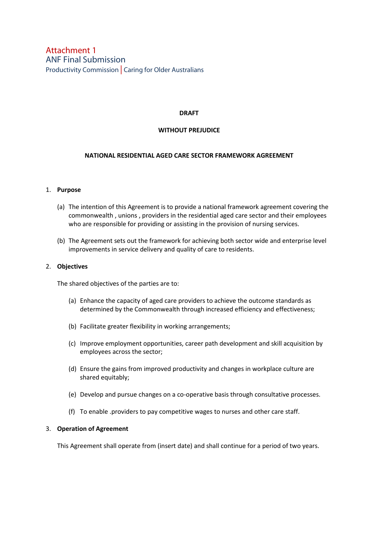## Attachment 1 ANF Final Submission Productivity Commission Caring for Older Australians

#### **DRAFT**

#### **WITHOUT PREJUDICE**

#### **NATIONAL RESIDENTIAL AGED CARE SECTOR FRAMEWORK AGREEMENT**

#### 1. **Purpose**

- (a) The intention of this Agreement is to provide a national framework agreement covering the commonwealth , unions , providers in the residential aged care sector and their employees who are responsible for providing or assisting in the provision of nursing services.
- (b) The Agreement sets out the framework for achieving both sector wide and enterprise level improvements in service delivery and quality of care to residents.

#### 2. **Objectives**

The shared objectives of the parties are to:

- (a) Enhance the capacity of aged care providers to achieve the outcome standards as determined by the Commonwealth through increased efficiency and effectiveness;
- (b) Facilitate greater flexibility in working arrangements;
- (c) Improve employment opportunities, career path development and skill acquisition by employees across the sector;
- (d) Ensure the gains from improved productivity and changes in workplace culture are shared equitably;
- (e) Develop and pursue changes on a co-operative basis through consultative processes.
- (f) To enable .providers to pay competitive wages to nurses and other care staff.

#### 3. **Operation of Agreement**

This Agreement shall operate from (insert date) and shall continue for a period of two years.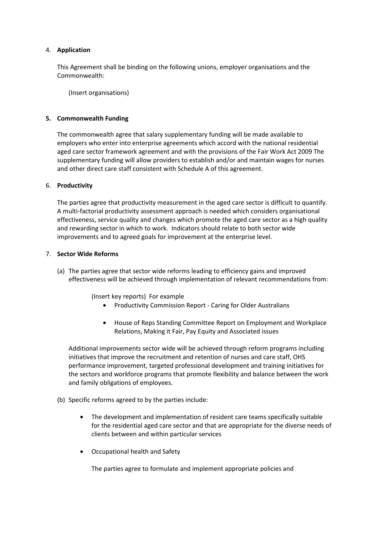#### 4. **Application**

This Agreement shall be binding on the following unions, employer organisations and the Commonwealth:

(Insert organisations)

#### **5. Commonwealth Funding**

The commonwealth agree that salary supplementary funding will be made available to employers who enter into enterprise agreements which accord with the national residential aged care sector framework agreement and with the provisions of the Fair Work Act 2009 The supplementary funding will allow providers to establish and/or and maintain wages for nurses and other direct care staff consistent with Schedule A of this agreement.

#### 6. **Productivity**

The parties agree that productivity measurement in the aged care sector is difficult to quantify. A multi-factorial productivity assessment approach is needed which considers organisational effectiveness, service quality and changes which promote the aged care sector as a high quality and rewarding sector in which to work. Indicators should relate to both sector wide improvements and to agreed goals for improvement at the enterprise level.

#### 7. **Sector Wide Reforms**

(a) The parties agree that sector wide reforms leading to efficiency gains and improved effectiveness will be achieved through implementation of relevant recommendations from:

(Insert key reports) For example

- Productivity Commission Report Caring for Older Australians
- House of Reps Standing Committee Report on Employment and Workplace Relations, Making it Fair, Pay Equity and Associated issues

Additional improvements sector wide will be achieved through reform programs including initiatives that improve the recruitment and retention of nurses and care staff, OHS performance improvement, targeted professional development and training initiatives for the sectors and workforce programs that promote flexibility and balance between the work and family obligations of employees.

- (b) Specific reforms agreed to by the parties include:
	- The development and implementation of resident care teams specifically suitable for the residential aged care sector and that are appropriate for the diverse needs of clients between and within particular services
	- Occupational health and Safety

The parties agree to formulate and implement appropriate policies and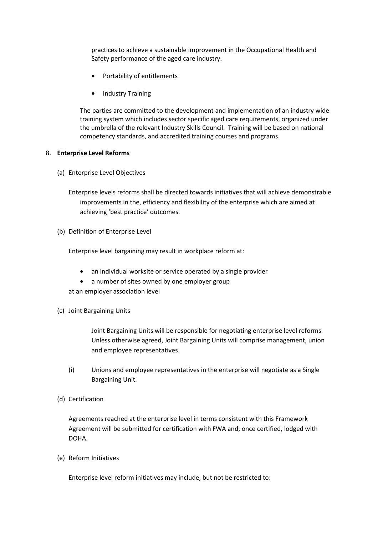practices to achieve a sustainable improvement in the Occupational Health and Safety performance of the aged care industry.

- Portability of entitlements
- Industry Training

The parties are committed to the development and implementation of an industry wide training system which includes sector specific aged care requirements, organized under the umbrella of the relevant Industry Skills Council. Training will be based on national competency standards, and accredited training courses and programs.

#### 8. **Enterprise Level Reforms**

- (a) Enterprise Level Objectives
	- Enterprise levels reforms shall be directed towards initiatives that will achieve demonstrable improvements in the, efficiency and flexibility of the enterprise which are aimed at achieving 'best practice' outcomes.
- (b) Definition of Enterprise Level

Enterprise level bargaining may result in workplace reform at:

- an individual worksite or service operated by a single provider
- a number of sites owned by one employer group

at an employer association level

(c) Joint Bargaining Units

Joint Bargaining Units will be responsible for negotiating enterprise level reforms. Unless otherwise agreed, Joint Bargaining Units will comprise management, union and employee representatives.

- (i) Unions and employee representatives in the enterprise will negotiate as a Single Bargaining Unit.
- (d) Certification

Agreements reached at the enterprise level in terms consistent with this Framework Agreement will be submitted for certification with FWA and, once certified, lodged with DOHA.

(e) Reform Initiatives

Enterprise level reform initiatives may include, but not be restricted to: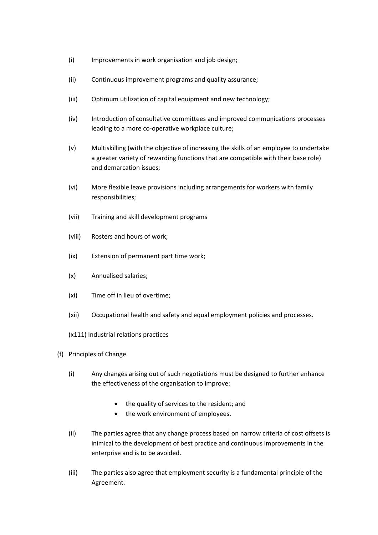- (i) Improvements in work organisation and job design;
- (ii) Continuous improvement programs and quality assurance;
- (iii) Optimum utilization of capital equipment and new technology;
- (iv) Introduction of consultative committees and improved communications processes leading to a more co-operative workplace culture;
- (v) Multiskilling (with the objective of increasing the skills of an employee to undertake a greater variety of rewarding functions that are compatible with their base role) and demarcation issues;
- (vi) More flexible leave provisions including arrangements for workers with family responsibilities;
- (vii) Training and skill development programs
- (viii) Rosters and hours of work;
- (ix) Extension of permanent part time work;
- (x) Annualised salaries;
- (xi) Time off in lieu of overtime;
- (xii) Occupational health and safety and equal employment policies and processes.
- (x111) Industrial relations practices
- (f) Principles of Change
	- (i) Any changes arising out of such negotiations must be designed to further enhance the effectiveness of the organisation to improve:
		- the quality of services to the resident; and
		- the work environment of employees.
	- (ii) The parties agree that any change process based on narrow criteria of cost offsets is inimical to the development of best practice and continuous improvements in the enterprise and is to be avoided.
	- (iii) The parties also agree that employment security is a fundamental principle of the Agreement.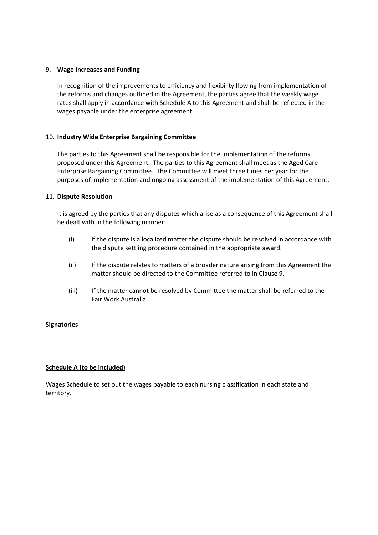#### 9. **Wage Increases and Funding**

In recognition of the improvements to efficiency and flexibility flowing from implementation of the reforms and changes outlined in the Agreement, the parties agree that the weekly wage rates shall apply in accordance with Schedule A to this Agreement and shall be reflected in the wages payable under the enterprise agreement.

#### 10. **Industry Wide Enterprise Bargaining Committee**

The parties to this Agreement shall be responsible for the implementation of the reforms proposed under this Agreement. The parties to this Agreement shall meet as the Aged Care Enterprise Bargaining Committee. The Committee will meet three times per year for the purposes of implementation and ongoing assessment of the implementation of this Agreement.

#### 11. **Dispute Resolution**

It is agreed by the parties that any disputes which arise as a consequence of this Agreement shall be dealt with in the following manner:

- (i) If the dispute is a localized matter the dispute should be resolved in accordance with the dispute settling procedure contained in the appropriate award.
- (ii) If the dispute relates to matters of a broader nature arising from this Agreement the matter should be directed to the Committee referred to in Clause 9.
- (iii) If the matter cannot be resolved by Committee the matter shall be referred to the Fair Work Australia.

#### **Signatories**

#### **Schedule A (to be included)**

Wages Schedule to set out the wages payable to each nursing classification in each state and territory.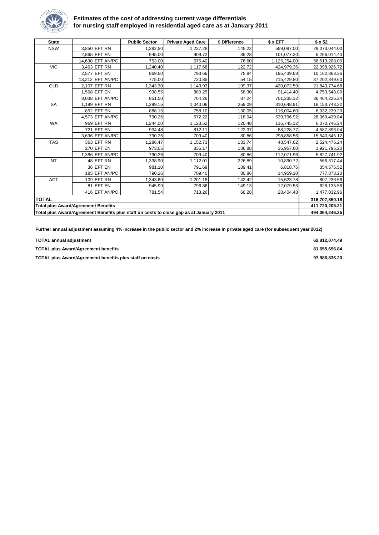

#### **Estimates of the cost of addressing current wage differentials for nursing staff employed in residential aged care as at January 2011**

| <b>State</b>                                                                            |                                            | <b>Public Sector</b> | <b>Private Aged Care</b> | \$ Difference | \$ x EFT     | $$ \times 52$    |
|-----------------------------------------------------------------------------------------|--------------------------------------------|----------------------|--------------------------|---------------|--------------|------------------|
| <b>NSW</b>                                                                              | 3,850 EFT RN                               | 1,382.50             | 1,237.28                 | 145.22        | 559,097.00   | 29,073,044.00    |
|                                                                                         | 2,865 EFT EN                               | 945.00               | 909.72                   | 35.28         | 101,077.20   | 5,256,014.40     |
|                                                                                         | 14,690 EFT AN/PC                           | 753.00               | 676.40                   | 76.60         | 1,125,254.00 | 58,513,208.00    |
| <b>VIC</b>                                                                              | 3,463 EFT RN                               | 1,240.40             | 1,117.68                 | 122.72        | 424,979.36   | 22,098,926.72    |
|                                                                                         | 2,577 EFT EN                               | 869.50               | 793.66                   | 75.84         | 195,439.68   | 10,162,863.36    |
|                                                                                         | 13.212 EFT AN/PC                           | 775.00               | 720.85                   | 54.15         | 715,429.80   | 37,202,349.60    |
| QLD                                                                                     | 2,107 EFT RN                               | 1,343.30             | 1,143.93                 | 199.37        | 420,072.59   | 21,843,774.68    |
|                                                                                         | 1,568 EFT EN                               | 938.55               | 880.25                   | 58.30         | 91,414.40    | 4,753,548.80     |
|                                                                                         | 8.038 EFT AN/PC                            | 851.50               | 764.26                   | 87.24         | 701,235.12   | 36,464,226.24    |
| <b>SA</b>                                                                               | 1,199 EFT RN                               | 1.299.15             | 1,040.06                 | 259.09        | 310,648.91   | 16, 153, 743. 32 |
|                                                                                         | 892 EFT EN                                 | 888.15               | 758.10                   | 130.05        | 116,004.60   | 6,032,239.20     |
|                                                                                         | 4,573 EFT AN/PC                            | 790.26               | 672.22                   | 118.04        | 539,796.92   | 28,069,439.84    |
| <b>WA</b>                                                                               | 969 EFT RN                                 | 1.244.00             | 1,123.52                 | 120.48        | 116,745.12   | 6,070,746.24     |
|                                                                                         | <b>721 EFT EN</b>                          | 934.48               | 812.11                   | 122.37        | 88,228.77    | 4,587,896.04     |
|                                                                                         | 3.696 EFT AN/PC                            | 790.26               | 709.40                   | 80.86         | 298,858.56   | 15,540,645.12    |
| <b>TAS</b>                                                                              | 363 EFT RN                                 | 1,286.47             | 1,152.73                 | 133.74        | 48,547.62    | 2,524,476.24     |
|                                                                                         | <b>270 EFT EN</b>                          | 973.05               | 836.17                   | 136.88        | 36,957.60    | 1,921,795.20     |
|                                                                                         | 1,386 EFT AN/PC                            | 790.26               | 709.40                   | 80.86         | 112,071.96   | 5,827,741.92     |
| <b>NT</b>                                                                               | 48 EFT RN                                  | 1,338.90             | 1,112.01                 | 226.89        | 10,890.72    | 566,317.44       |
|                                                                                         | 36 EFT EN                                  | 981.10               | 791.69                   | 189.41        | 6,818.76     | 354,575.52       |
|                                                                                         | 185 EFT AN/PC                              | 790.26               | 709.40                   | 80.86         | 14,959.10    | 777,873.20       |
| <b>ACT</b>                                                                              | 109 EFT RN                                 | 1,343.60             | 1,201.18                 | 142.42        | 15,523.78    | 807,236.56       |
|                                                                                         | 81 EFT EN                                  | 945.99               | 796.86                   | 149.13        | 12,079.53    | 628,135.56       |
|                                                                                         | 416 EFT AN/PC                              | 781.54               | 713.26                   | 68.28         | 28,404.48    | 1,477,032.96     |
| <b>TOTAL</b>                                                                            |                                            |                      |                          |               |              | 316,707,850.16   |
|                                                                                         | <b>Total plus Award/Agreement Benefits</b> |                      |                          |               |              | 411,720,205.21   |
| Total plus Award/Agreement Benefits plus staff on costs to close gap as at January 2011 |                                            |                      |                          |               |              | 494.064.246.25   |

**Further annual adjustment assuming 4% increase in the public sector and 2% increase in private aged care (for subsequent year 2012)**

| <b>TOTAL annual adiustment</b>                          | 62.812.074.49 |
|---------------------------------------------------------|---------------|
| <b>TOTAL plus Award/Agreement benefits</b>              | 81.655.696.84 |
| TOTAL plus Award/Agreement benefits plus staff on costs | 97.986.836.20 |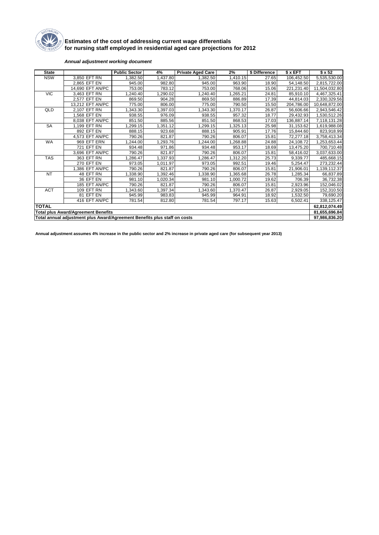

#### **Estimates of the cost of addressing current wage differentials for nursing staff employed in residential aged care projections for 2012**

#### *Annual adjustment working document*

| <b>State</b>                                                              |                                            | <b>Public Sector</b> | 4%       | <b>Private Aged Care</b> | 2%       | \$ Difference | \$ x EFT      | $$ \times 52$ |
|---------------------------------------------------------------------------|--------------------------------------------|----------------------|----------|--------------------------|----------|---------------|---------------|---------------|
| <b>NSW</b>                                                                | 3,850 EFT RN                               | ,382.50              | 1,437.80 | 1,382.50                 | 1,410.15 | 27.65         | 106,452.50    | 5,535,530.00  |
|                                                                           | 2,865 EFT EN                               | 945.00               | 982.80   | 945.00                   | 963.90   | 18.90         | 54,148.50     | 2,815,722.00  |
|                                                                           | 14,690 EFT AN/PC                           | 753.00               | 783.12   | 753.00                   | 768.06   | 15.06         | 221,231.40    | 11,504,032.80 |
| <b>VIC</b>                                                                | 3,463 EFT RN                               | 1,240.40             | .290.02  | ,240.40                  | 1,265.21 | 24.81         | 85,910.10     | 4,467,325.41  |
|                                                                           | 2,577 EFT EN                               | 869.50               | 904.28   | 869.50                   | 886.89   | 17.39         | 44,814.03     | 2,330,329.56  |
|                                                                           | 13,212 EFT AN/PC                           | 775.00               | 806.00   | 775.00                   | 790.50   | 15.50         | 204,786.00    | 10,648,872.00 |
| QLD                                                                       | 2.107 EFT RN                               | 1,343.30             | ,397.03  | 1,343.30                 | 1,370.17 | 26.87         | 56,606.66     | 2,943,546.42  |
|                                                                           | 1.568 EFT EN                               | 938.55               | 976.09   | 938.55                   | 957.32   | 18.77         | 29,432.93     | 1,530,512.26  |
|                                                                           | 8.038 EFT AN/PC                            | 851.50               | 885.56   | 851.50                   | 868.53   | 17.03         | 136,887.14    | 7,118,131.28  |
| SA                                                                        | 1.199 EFT RN                               | 1.299.15             | 1,351.12 | 1,299.15                 | 1,325.13 | 25.98         | 31,153.62     | 1,619,988.08  |
|                                                                           | 892 EFT EN                                 | 888.15               | 923.68   | 888.15                   | 905.91   | 17.76         | 15,844.60     | 823,918.99    |
|                                                                           | 4.573 EFT AN/PC                            | 790.26               | 821.87   | 790.26                   | 806.07   | 15.81         | 72,277.18     | 3,758,413.34  |
| WA                                                                        | 969 EFT ERN                                | 1,244.00             | ,293.76  | 1,244.00                 | 1,268.88 | 24.88         | 24,108.72     | 1,253,653.44  |
|                                                                           | <b>721 EFT EN</b>                          | 934.48               | 971.86   | 934.48                   | 953.17   | 18.69         | 13,475.20     | 700,710.48    |
|                                                                           | 3,696 EFT AN/PC                            | 790.26               | 821.87   | 790.26                   | 806.07   | 15.81         | 58,416.02     | 3,037,633.00  |
| <b>TAS</b>                                                                | 363 EFT RN                                 | 1,286.47             | 1,337.93 | 1,286.47                 | 1,312.20 | 25.73         | 9,339.77      | 485,668.15    |
|                                                                           | <b>270 EFT EN</b>                          | 973.05               | 1,011.97 | 973.05                   | 992.51   | 19.46         | 5,254.47      | 273,232.44    |
|                                                                           | 1,386 EFT AN/PC                            | 790.26               | 821.87   | 790.26                   | 806.07   | 15.81         | 21,906.01     | 1,139,112.37  |
| <b>NT</b>                                                                 | 48 EFT RN                                  | 1,338.90             | ,392.46  | 1,338.90                 | 1,365.68 | 26.78         | 1,285.34      | 66,837.89     |
|                                                                           | 36 EFT EN                                  | 981.10               | 1,020.34 | 981.10                   | 1,000.72 | 19.62         | 706.39        | 36,732.38     |
|                                                                           | 185 EFT AN/PC                              | 790.26               | 821.87   | 790.26                   | 806.07   | 15.81         | 2,923.96      | 152,046.02    |
| <b>ACT</b>                                                                | <b>109 EFT RN</b>                          | 1,343.60             | 1,397.34 | 1,343.60                 | 1,370.47 | 26.87         | 2,929.05      | 152,310.50    |
|                                                                           | 81 EFT EN                                  | 945.99               | 983.83   | 945.99                   | 964.91   | 18.92         | 1,532.50      | 79,690.20     |
|                                                                           | 416 EFT AN/PC                              | 781.54               | 812.80   | 781.54                   | 797.17   | 15.63         | 6,502.41      | 338,125.47    |
| <b>TOTAL</b>                                                              |                                            |                      |          |                          |          |               |               | 62,812,074.49 |
|                                                                           | <b>Total plus Award/Agreement Benefits</b> |                      |          |                          |          |               |               | 81,655,696.84 |
| Total annual adjustment plus Award/Agreement Benefits plus staff on costs |                                            |                      |          |                          |          |               | 97.986.836.20 |               |

**Annual adjustment assumes 4% increase in the public sector and 2% increase in private aged care (for subsequent year 2013)**